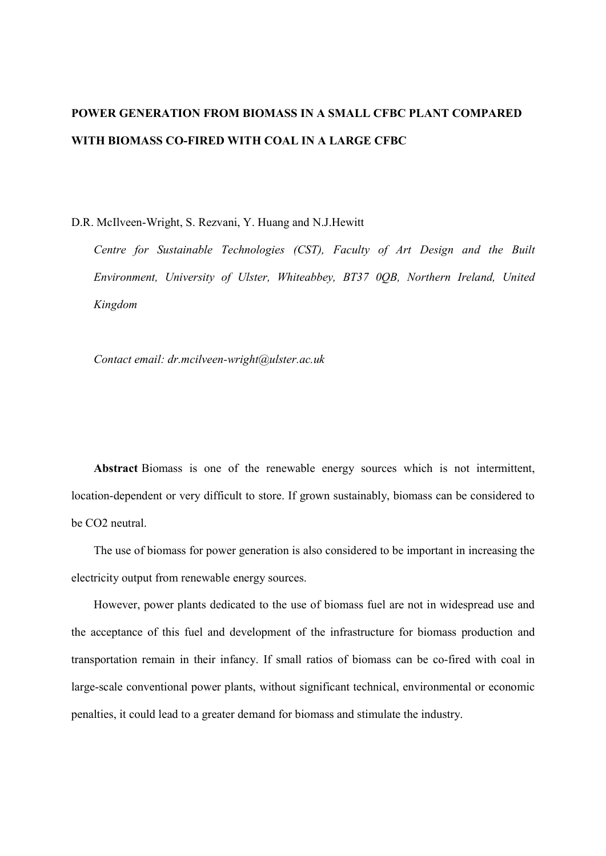# POWER GENERATION FROM BIOMASS IN A SMALL CFBC PLANT COMPARED WITH BIOMASS CO-FIRED WITH COAL IN A LARGE CFBC

D.R. McIlveen-Wright, S. Rezvani, Y. Huang and N.J.Hewitt

Centre for Sustainable Technologies (CST), Faculty of Art Design and the Built Environment, University of Ulster, Whiteabbey, BT37 0QB, Northern Ireland, United Kingdom

Contact email: dr.mcilveen-wright@ulster.ac.uk

Abstract Biomass is one of the renewable energy sources which is not intermittent, location-dependent or very difficult to store. If grown sustainably, biomass can be considered to be CO2 neutral.

The use of biomass for power generation is also considered to be important in increasing the electricity output from renewable energy sources.

However, power plants dedicated to the use of biomass fuel are not in widespread use and the acceptance of this fuel and development of the infrastructure for biomass production and transportation remain in their infancy. If small ratios of biomass can be co-fired with coal in large-scale conventional power plants, without significant technical, environmental or economic penalties, it could lead to a greater demand for biomass and stimulate the industry.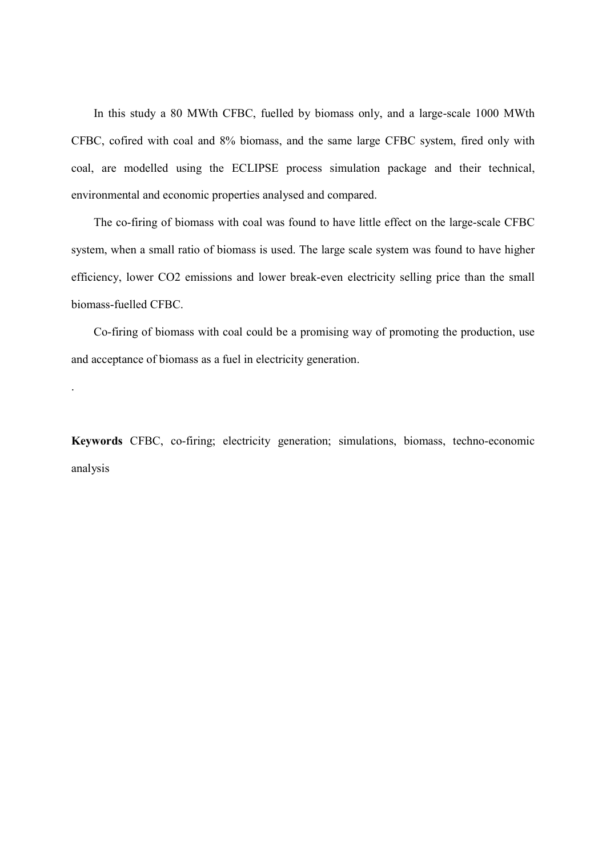In this study a 80 MWth CFBC, fuelled by biomass only, and a large-scale 1000 MWth CFBC, cofired with coal and 8% biomass, and the same large CFBC system, fired only with coal, are modelled using the ECLIPSE process simulation package and their technical, environmental and economic properties analysed and compared.

The co-firing of biomass with coal was found to have little effect on the large-scale CFBC system, when a small ratio of biomass is used. The large scale system was found to have higher efficiency, lower CO2 emissions and lower break-even electricity selling price than the small biomass-fuelled CFBC.

Co-firing of biomass with coal could be a promising way of promoting the production, use and acceptance of biomass as a fuel in electricity generation.

.

Keywords CFBC, co-firing; electricity generation; simulations, biomass, techno-economic analysis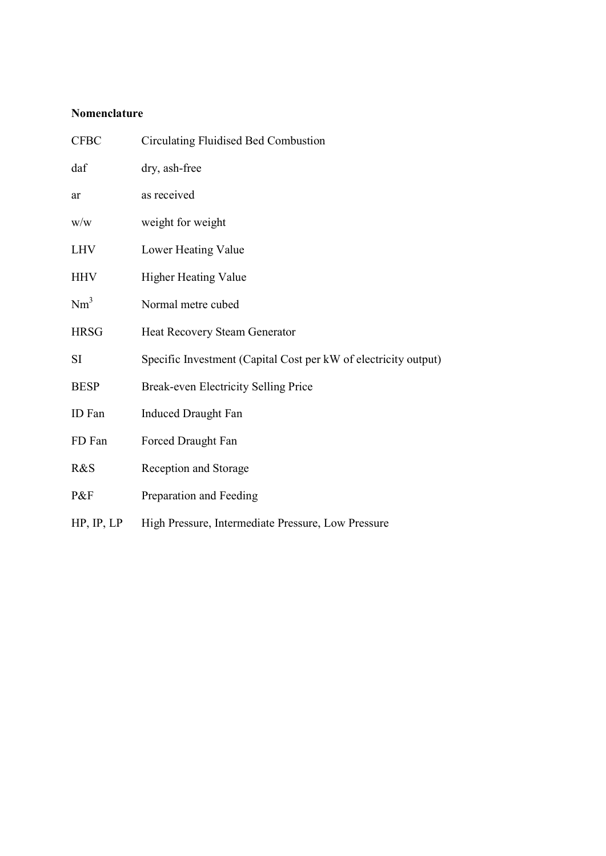### Nomenclature

| <b>CFBC</b>     | Circulating Fluidised Bed Combustion                            |
|-----------------|-----------------------------------------------------------------|
| daf             | dry, ash-free                                                   |
| ar              | as received                                                     |
| W/W             | weight for weight                                               |
| <b>LHV</b>      | Lower Heating Value                                             |
| <b>HHV</b>      | <b>Higher Heating Value</b>                                     |
| Nm <sup>3</sup> | Normal metre cubed                                              |
| <b>HRSG</b>     | Heat Recovery Steam Generator                                   |
| <b>SI</b>       | Specific Investment (Capital Cost per kW of electricity output) |
| <b>BESP</b>     | Break-even Electricity Selling Price                            |
| ID Fan          | <b>Induced Draught Fan</b>                                      |
| FD Fan          | Forced Draught Fan                                              |
| R&S             | Reception and Storage                                           |
| P&F             | Preparation and Feeding                                         |
| HP, IP, LP      | High Pressure, Intermediate Pressure, Low Pressure              |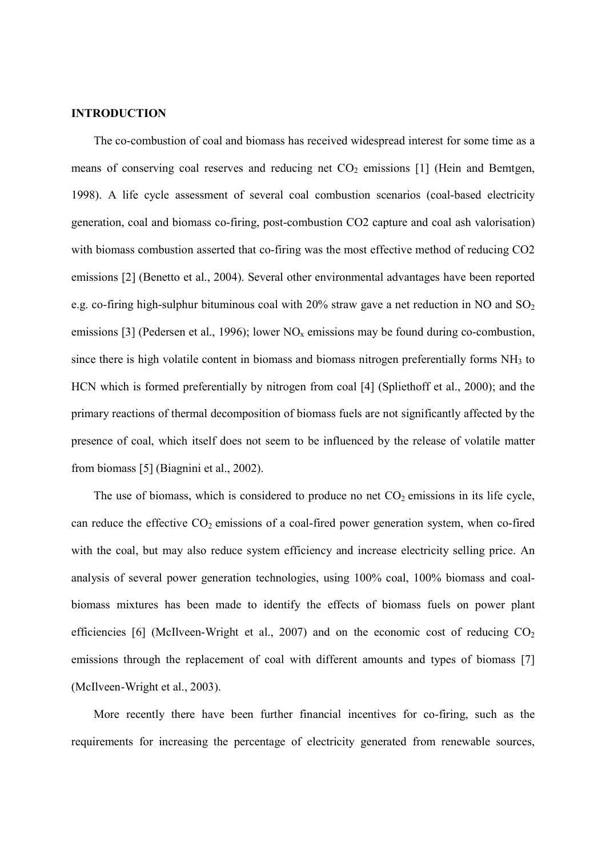#### INTRODUCTION

The co-combustion of coal and biomass has received widespread interest for some time as a means of conserving coal reserves and reducing net  $CO<sub>2</sub>$  emissions [1] (Hein and Bemtgen, 1998). A life cycle assessment of several coal combustion scenarios (coal-based electricity generation, coal and biomass co-firing, post-combustion CO2 capture and coal ash valorisation) with biomass combustion asserted that co-firing was the most effective method of reducing CO2 emissions [2] (Benetto et al., 2004). Several other environmental advantages have been reported e.g. co-firing high-sulphur bituminous coal with  $20\%$  straw gave a net reduction in NO and  $SO_2$ emissions [3] (Pedersen et al., 1996); lower  $NO<sub>x</sub>$  emissions may be found during co-combustion, since there is high volatile content in biomass and biomass nitrogen preferentially forms  $NH<sub>3</sub>$  to HCN which is formed preferentially by nitrogen from coal [4] (Spliethoff et al., 2000); and the primary reactions of thermal decomposition of biomass fuels are not significantly affected by the presence of coal, which itself does not seem to be influenced by the release of volatile matter from biomass [5] (Biagnini et al., 2002).

The use of biomass, which is considered to produce no net  $CO<sub>2</sub>$  emissions in its life cycle, can reduce the effective  $CO_2$  emissions of a coal-fired power generation system, when co-fired with the coal, but may also reduce system efficiency and increase electricity selling price. An analysis of several power generation technologies, using 100% coal, 100% biomass and coalbiomass mixtures has been made to identify the effects of biomass fuels on power plant efficiencies [6] (McIlveen-Wright et al., 2007) and on the economic cost of reducing  $CO<sub>2</sub>$ emissions through the replacement of coal with different amounts and types of biomass [7] (McIlveen-Wright et al., 2003).

More recently there have been further financial incentives for co-firing, such as the requirements for increasing the percentage of electricity generated from renewable sources,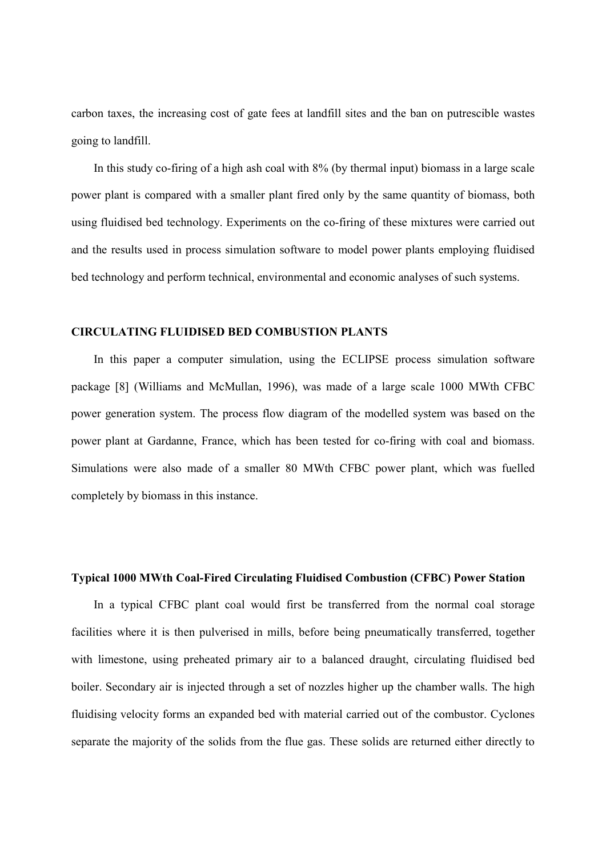carbon taxes, the increasing cost of gate fees at landfill sites and the ban on putrescible wastes going to landfill.

In this study co-firing of a high ash coal with 8% (by thermal input) biomass in a large scale power plant is compared with a smaller plant fired only by the same quantity of biomass, both using fluidised bed technology. Experiments on the co-firing of these mixtures were carried out and the results used in process simulation software to model power plants employing fluidised bed technology and perform technical, environmental and economic analyses of such systems.

### CIRCULATING FLUIDISED BED COMBUSTION PLANTS

In this paper a computer simulation, using the ECLIPSE process simulation software package [8] (Williams and McMullan, 1996), was made of a large scale 1000 MWth CFBC power generation system. The process flow diagram of the modelled system was based on the power plant at Gardanne, France, which has been tested for co-firing with coal and biomass. Simulations were also made of a smaller 80 MWth CFBC power plant, which was fuelled completely by biomass in this instance.

#### Typical 1000 MWth Coal-Fired Circulating Fluidised Combustion (CFBC) Power Station

In a typical CFBC plant coal would first be transferred from the normal coal storage facilities where it is then pulverised in mills, before being pneumatically transferred, together with limestone, using preheated primary air to a balanced draught, circulating fluidised bed boiler. Secondary air is injected through a set of nozzles higher up the chamber walls. The high fluidising velocity forms an expanded bed with material carried out of the combustor. Cyclones separate the majority of the solids from the flue gas. These solids are returned either directly to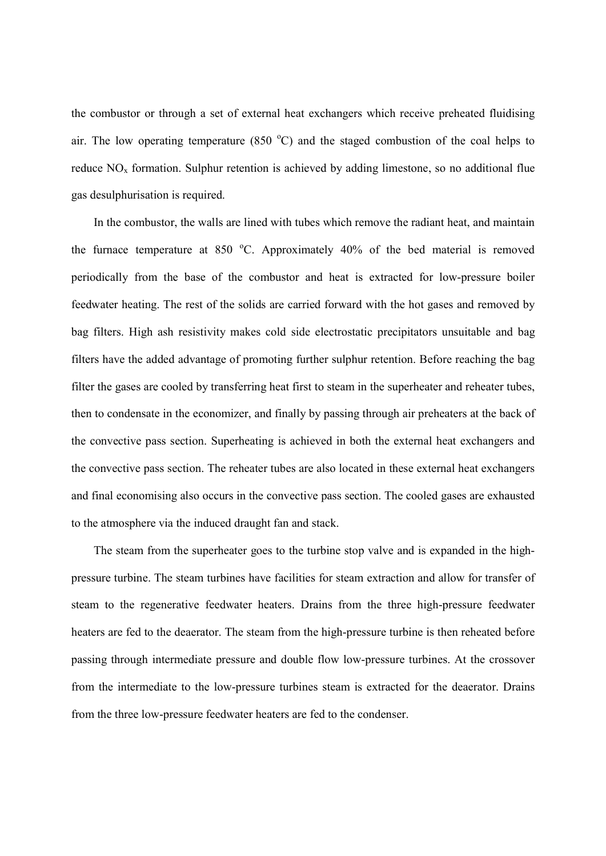the combustor or through a set of external heat exchangers which receive preheated fluidising air. The low operating temperature (850  $^{\circ}$ C) and the staged combustion of the coal helps to reduce  $NO<sub>x</sub>$  formation. Sulphur retention is achieved by adding limestone, so no additional flue gas desulphurisation is required.

In the combustor, the walls are lined with tubes which remove the radiant heat, and maintain the furnace temperature at 850  $^{\circ}$ C. Approximately 40% of the bed material is removed periodically from the base of the combustor and heat is extracted for low-pressure boiler feedwater heating. The rest of the solids are carried forward with the hot gases and removed by bag filters. High ash resistivity makes cold side electrostatic precipitators unsuitable and bag filters have the added advantage of promoting further sulphur retention. Before reaching the bag filter the gases are cooled by transferring heat first to steam in the superheater and reheater tubes, then to condensate in the economizer, and finally by passing through air preheaters at the back of the convective pass section. Superheating is achieved in both the external heat exchangers and the convective pass section. The reheater tubes are also located in these external heat exchangers and final economising also occurs in the convective pass section. The cooled gases are exhausted to the atmosphere via the induced draught fan and stack.

The steam from the superheater goes to the turbine stop valve and is expanded in the highpressure turbine. The steam turbines have facilities for steam extraction and allow for transfer of steam to the regenerative feedwater heaters. Drains from the three high-pressure feedwater heaters are fed to the deaerator. The steam from the high-pressure turbine is then reheated before passing through intermediate pressure and double flow low-pressure turbines. At the crossover from the intermediate to the low-pressure turbines steam is extracted for the deaerator. Drains from the three low-pressure feedwater heaters are fed to the condenser.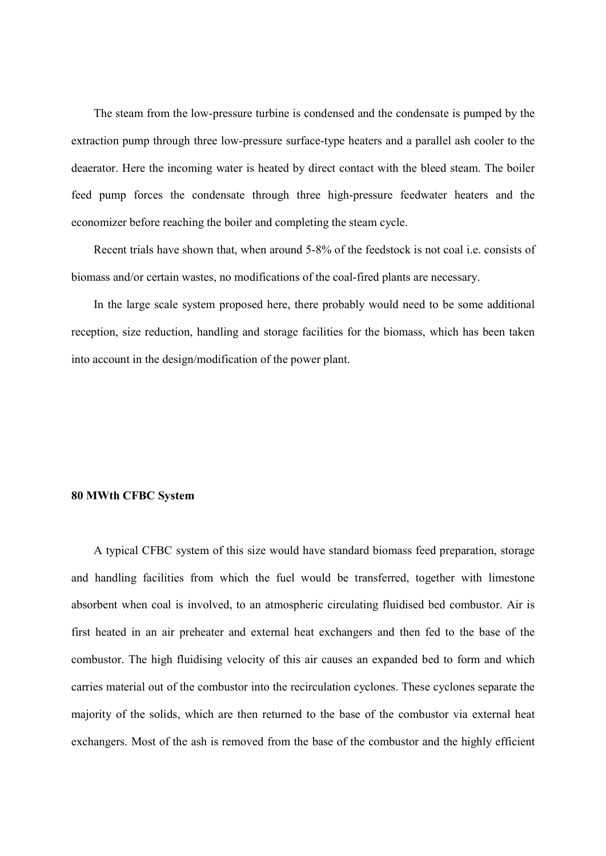The steam from the low-pressure turbine is condensed and the condensate is pumped by the extraction pump through three low-pressure surface-type heaters and a parallel ash cooler to the deaerator. Here the incoming water is heated by direct contact with the bleed steam. The boiler feed pump forces the condensate through three high-pressure feedwater heaters and the economizer before reaching the boiler and completing the steam cycle.

Recent trials have shown that, when around 5-8% of the feedstock is not coal i.e. consists of biomass and/or certain wastes, no modifications of the coal-fired plants are necessary.

In the large scale system proposed here, there probably would need to be some additional reception, size reduction, handling and storage facilities for the biomass, which has been taken into account in the design/modification of the power plant.

#### 80 MWth CFBC System

A typical CFBC system of this size would have standard biomass feed preparation, storage and handling facilities from which the fuel would be transferred, together with limestone absorbent when coal is involved, to an atmospheric circulating fluidised bed combustor. Air is first heated in an air preheater and external heat exchangers and then fed to the base of the combustor. The high fluidising velocity of this air causes an expanded bed to form and which carries material out of the combustor into the recirculation cyclones. These cyclones separate the majority of the solids, which are then returned to the base of the combustor via external heat exchangers. Most of the ash is removed from the base of the combustor and the highly efficient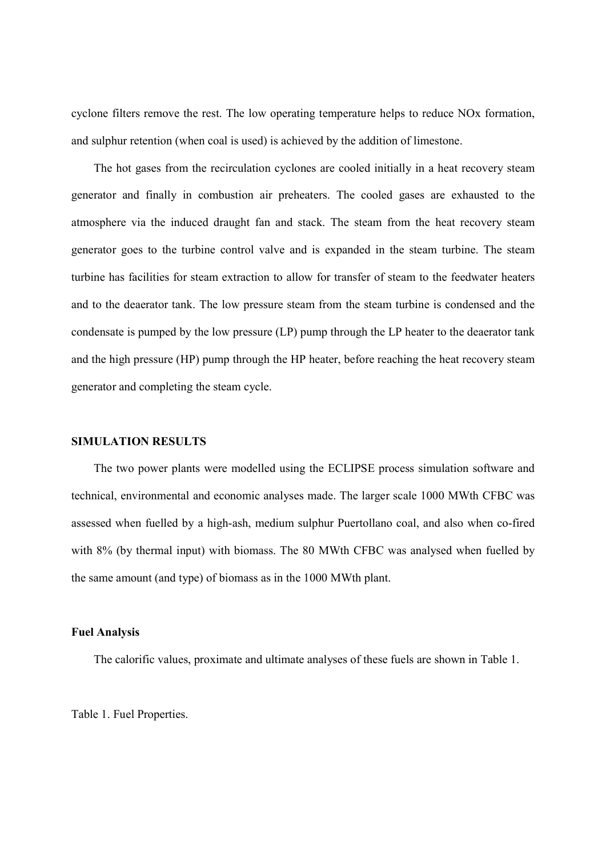cyclone filters remove the rest. The low operating temperature helps to reduce NOx formation, and sulphur retention (when coal is used) is achieved by the addition of limestone.

The hot gases from the recirculation cyclones are cooled initially in a heat recovery steam generator and finally in combustion air preheaters. The cooled gases are exhausted to the atmosphere via the induced draught fan and stack. The steam from the heat recovery steam generator goes to the turbine control valve and is expanded in the steam turbine. The steam turbine has facilities for steam extraction to allow for transfer of steam to the feedwater heaters and to the deaerator tank. The low pressure steam from the steam turbine is condensed and the condensate is pumped by the low pressure (LP) pump through the LP heater to the deaerator tank and the high pressure (HP) pump through the HP heater, before reaching the heat recovery steam generator and completing the steam cycle.

### SIMULATION RESULTS

The two power plants were modelled using the ECLIPSE process simulation software and technical, environmental and economic analyses made. The larger scale 1000 MWth CFBC was assessed when fuelled by a high-ash, medium sulphur Puertollano coal, and also when co-fired with 8% (by thermal input) with biomass. The 80 MWth CFBC was analysed when fuelled by the same amount (and type) of biomass as in the 1000 MWth plant.

#### Fuel Analysis

The calorific values, proximate and ultimate analyses of these fuels are shown in Table 1.

Table 1. Fuel Properties.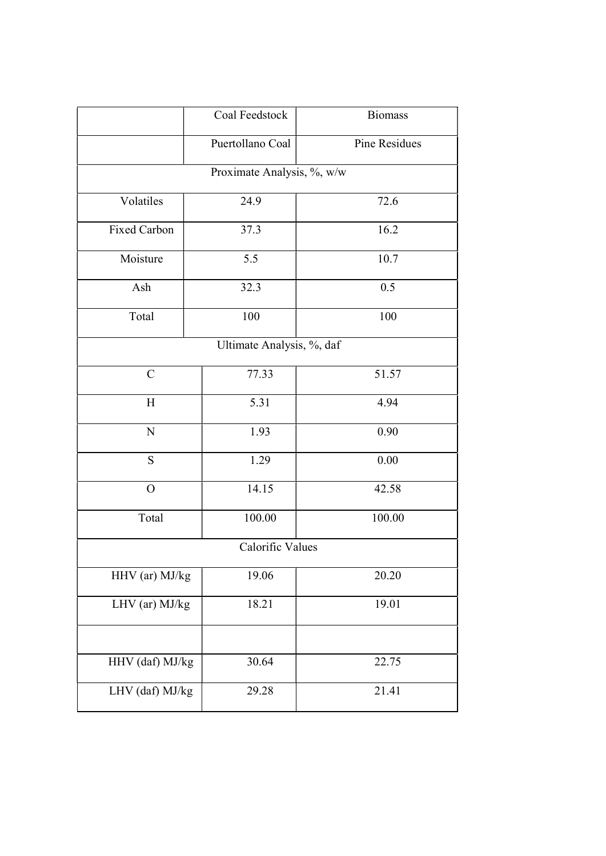|                  | Coal Feedstock             | <b>Biomass</b> |  |
|------------------|----------------------------|----------------|--|
|                  | Puertollano Coal           | Pine Residues  |  |
|                  | Proximate Analysis, %, w/w |                |  |
| Volatiles        | 24.9                       | 72.6           |  |
| Fixed Carbon     | 37.3                       | 16.2           |  |
| Moisture         | 5.5                        | 10.7           |  |
| Ash              | 32.3                       | 0.5            |  |
| Total            | 100                        | 100            |  |
|                  | Ultimate Analysis, %, daf  |                |  |
| $\overline{C}$   | 77.33                      | 51.57          |  |
| H                | 5.31                       | 4.94           |  |
| ${\bf N}$        | 1.93                       | 0.90           |  |
| S                | 1.29                       | 0.00           |  |
| $\mathbf O$      | 14.15                      | 42.58          |  |
| Total            | 100.00                     | 100.00         |  |
| Calorific Values |                            |                |  |
| HHV (ar) MJ/kg   | 19.06                      | 20.20          |  |
| LHV (ar) MJ/kg   | 18.21                      | 19.01          |  |
|                  |                            |                |  |
| HHV (daf) MJ/kg  | 30.64                      | 22.75          |  |
| LHV (daf) MJ/kg  | 29.28                      | 21.41          |  |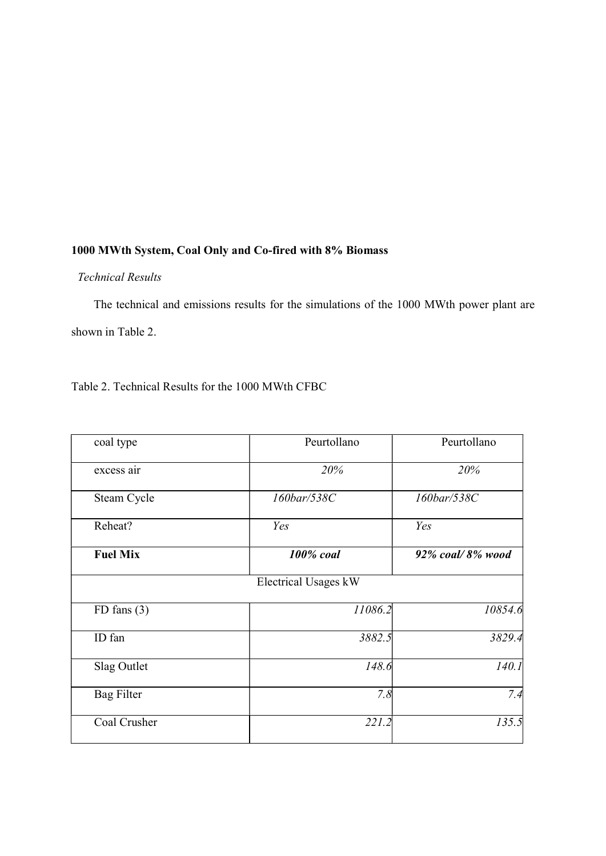# 1000 MWth System, Coal Only and Co-fired with 8% Biomass

### Technical Results

The technical and emissions results for the simulations of the 1000 MWth power plant are shown in Table 2.

### Table 2. Technical Results for the 1000 MWth CFBC

| coal type       | Peurtollano                 | Peurtollano      |
|-----------------|-----------------------------|------------------|
| excess air      | 20%                         | 20%              |
| Steam Cycle     | 160bar/538C                 | 160bar/538C      |
| Reheat?         | Yes                         | Yes              |
| <b>Fuel Mix</b> | <b>100% coal</b>            | 92% coal/8% wood |
|                 | <b>Electrical Usages kW</b> |                  |
| $FD$ fans $(3)$ | 11086.2                     | 10854.6          |
| ID fan          | 3882.5                      | 3829.4           |
| Slag Outlet     | 148.6                       | 140.1            |
| Bag Filter      | 7.8                         | 7.4              |
| Coal Crusher    | 221.2                       | 135.5            |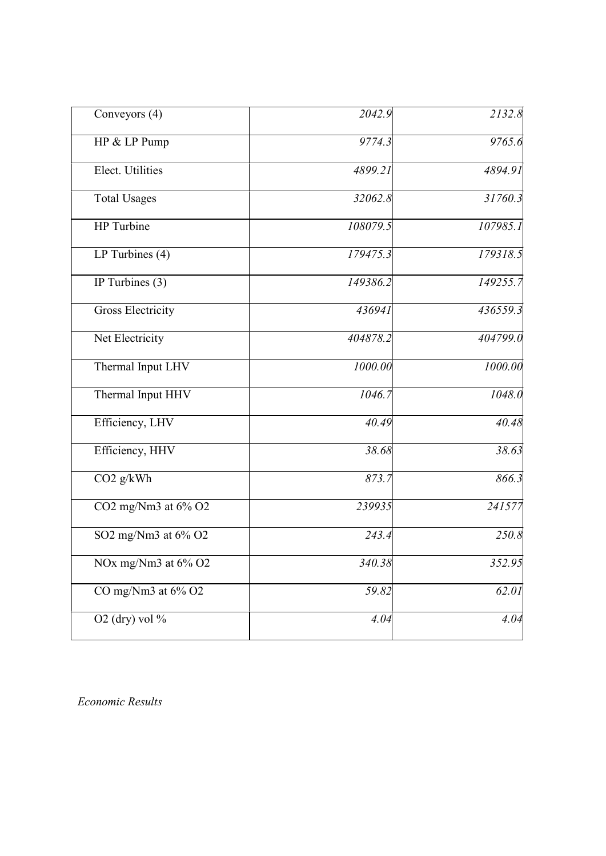| Conveyors (4)           | 2042.9   | 2132.8   |
|-------------------------|----------|----------|
|                         |          |          |
| HP & LP Pump            | 9774.3   | 9765.6   |
| <b>Elect.</b> Utilities | 4899.21  | 4894.91  |
| <b>Total Usages</b>     | 32062.8  | 31760.3  |
| HP Turbine              | 108079.5 | 107985.1 |
| LP Turbines $(4)$       | 179475.3 | 179318.5 |
| IP Turbines $(3)$       | 149386.2 | 149255.7 |
| Gross Electricity       | 436941   | 436559.3 |
| Net Electricity         | 404878.2 | 404799.0 |
| Thermal Input LHV       | 1000.00  | 1000.00  |
| Thermal Input HHV       | 1046.7   | 1048.0   |
| Efficiency, LHV         | 40.49    | 40.48    |
| Efficiency, HHV         | 38.68    | 38.63    |
| CO2 g/kWh               | 873.7    | 866.3    |
| CO2 mg/Nm3 at 6% O2     | 239935   | 241577   |
| SO2 mg/Nm3 at 6% O2     | 243.4    | 250.8    |
| NOx mg/Nm3 at $6\%$ O2  | 340.38   | 352.95   |
| CO mg/Nm3 at 6% O2      | 59.82    | 62.01    |
| O2 (dry) vol $\%$       | 4.04     | 4.04     |
|                         |          |          |

Economic Results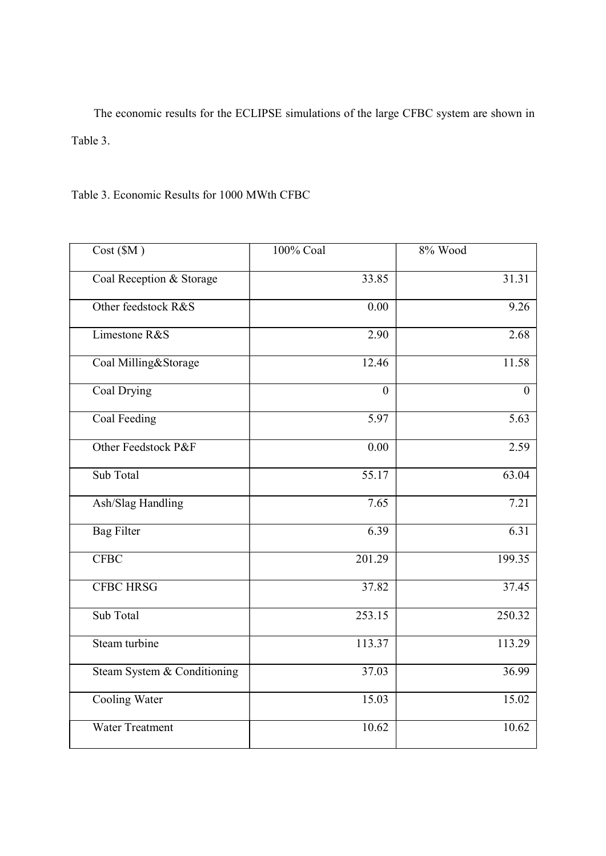The economic results for the ECLIPSE simulations of the large CFBC system are shown in Table 3.

Table 3. Economic Results for 1000 MWth CFBC

| Cost (\$M)                  | 100% Coal      | 8% Wood  |
|-----------------------------|----------------|----------|
| Coal Reception & Storage    | 33.85          | 31.31    |
| Other feedstock R&S         | 0.00           | 9.26     |
| Limestone R&S               | 2.90           | 2.68     |
| Coal Milling&Storage        | 12.46          | 11.58    |
| Coal Drying                 | $\overline{0}$ | $\theta$ |
| Coal Feeding                | 5.97           | 5.63     |
| Other Feedstock P&F         | 0.00           | 2.59     |
| Sub Total                   | 55.17          | 63.04    |
| Ash/Slag Handling           | 7.65           | 7.21     |
| <b>Bag Filter</b>           | 6.39           | 6.31     |
| <b>CFBC</b>                 | 201.29         | 199.35   |
| <b>CFBC HRSG</b>            | 37.82          | 37.45    |
| Sub Total                   | 253.15         | 250.32   |
| Steam turbine               | 113.37         | 113.29   |
| Steam System & Conditioning | 37.03          | 36.99    |
| Cooling Water               | 15.03          | 15.02    |
| <b>Water Treatment</b>      | 10.62          | 10.62    |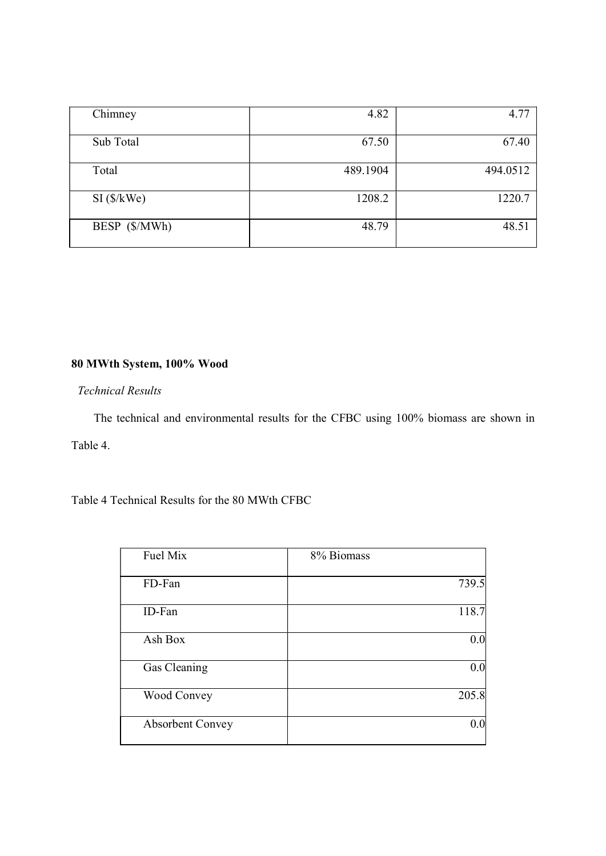| Chimney                  | 4.82     | 4.77     |
|--------------------------|----------|----------|
| Sub Total                | 67.50    | 67.40    |
| Total                    | 489.1904 | 494.0512 |
| $SI$ ( $\frac{$}{kWe}$ ) | 1208.2   | 1220.7   |
| BESP (\$/MWh)            | 48.79    | 48.51    |

# 80 MWth System, 100% Wood

# Technical Results

The technical and environmental results for the CFBC using 100% biomass are shown in Table 4.

Table 4 Technical Results for the 80 MWth CFBC

| Fuel Mix         | 8% Biomass |
|------------------|------------|
| FD-Fan           | 739.5      |
| ID-Fan           | 118.7      |
| Ash Box          | 0.0        |
| Gas Cleaning     | 0.0        |
| Wood Convey      | 205.8      |
| Absorbent Convey | 0.0        |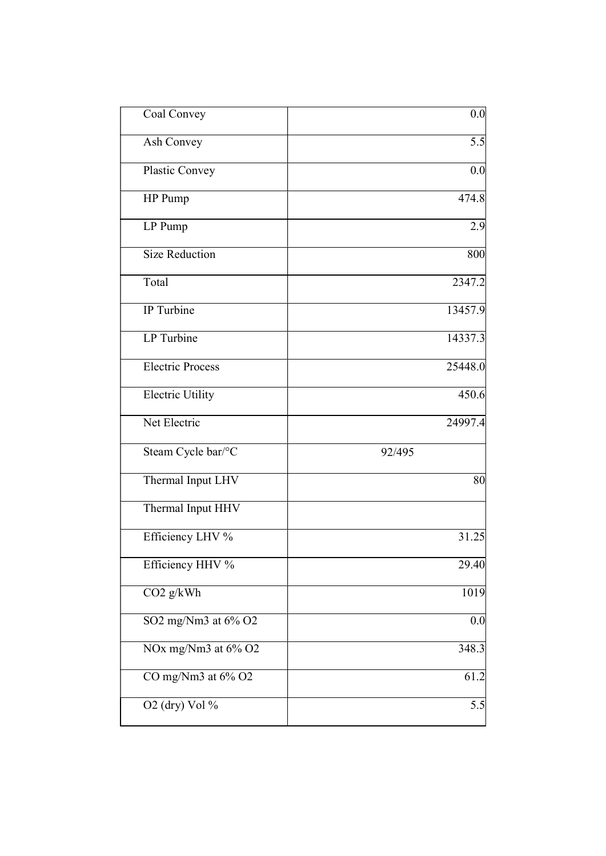| Coal Convey             | 0.0     |
|-------------------------|---------|
| Ash Convey              | 5.5     |
| Plastic Convey          | 0.0     |
| HP Pump                 | 474.8   |
| LP Pump                 | 2.9     |
| <b>Size Reduction</b>   | 800     |
| Total                   | 2347.2  |
| IP Turbine              | 13457.9 |
| LP Turbine              | 14337.3 |
| <b>Electric Process</b> | 25448.0 |
| <b>Electric Utility</b> | 450.6   |
| Net Electric            | 24997.4 |
| Steam Cycle bar/°C      | 92/495  |
| Thermal Input LHV       | 80      |
| Thermal Input HHV       |         |
| Efficiency LHV %        | 31.25   |
| Efficiency HHV %        | 29.40   |
| CO2 g/kWh               | 1019    |
| SO2 mg/Nm3 at 6% O2     | 0.0     |
| NOx mg/Nm3 at 6% O2     | 348.3   |
| CO mg/Nm3 at 6% O2      | 61.2    |
| O2 (dry) Vol %          | 5.5     |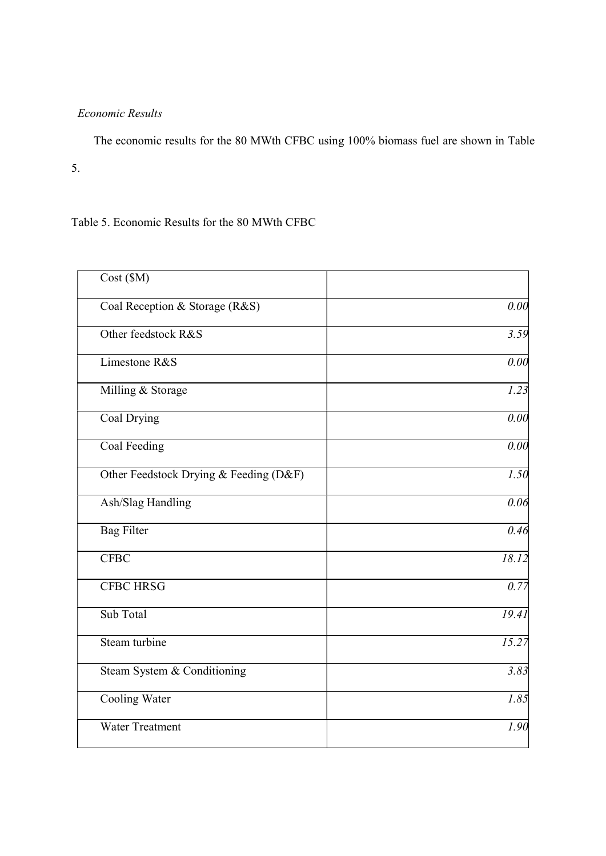# Economic Results

5.

The economic results for the 80 MWth CFBC using 100% biomass fuel are shown in Table

Table 5. Economic Results for the 80 MWth CFBC

| Cost (\$M)                             |       |
|----------------------------------------|-------|
| Coal Reception & Storage (R&S)         | 0.00  |
| Other feedstock R&S                    | 3.59  |
| Limestone R&S                          | 0.00  |
| Milling & Storage                      | 1.23  |
| Coal Drying                            | 0.00  |
| <b>Coal Feeding</b>                    | 0.00  |
| Other Feedstock Drying & Feeding (D&F) | 1.50  |
| Ash/Slag Handling                      | 0.06  |
| <b>Bag Filter</b>                      | 0.46  |
| <b>CFBC</b>                            | 18.12 |
| <b>CFBC HRSG</b>                       | 0.77  |
| Sub Total                              | 19.41 |
| Steam turbine                          | 15.27 |
| Steam System & Conditioning            | 3.83  |
| Cooling Water                          | 1.85  |
| <b>Water Treatment</b>                 | 1.90  |
|                                        |       |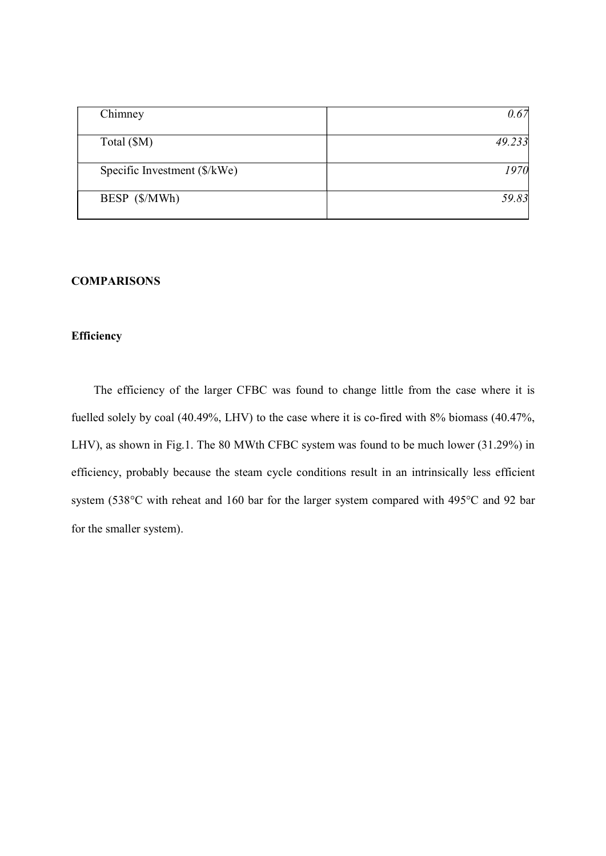| Chimney                               | 0.67   |
|---------------------------------------|--------|
| Total $(SM)$                          | 49.233 |
| Specific Investment $(\frac{8}{kWe})$ | 1970   |
| BESP (\$/MWh)                         | 59.83  |
|                                       |        |

### **COMPARISONS**

### **Efficiency**

The efficiency of the larger CFBC was found to change little from the case where it is fuelled solely by coal (40.49%, LHV) to the case where it is co-fired with 8% biomass (40.47%, LHV), as shown in Fig.1. The 80 MWth CFBC system was found to be much lower (31.29%) in efficiency, probably because the steam cycle conditions result in an intrinsically less efficient system (538°C with reheat and 160 bar for the larger system compared with 495°C and 92 bar for the smaller system).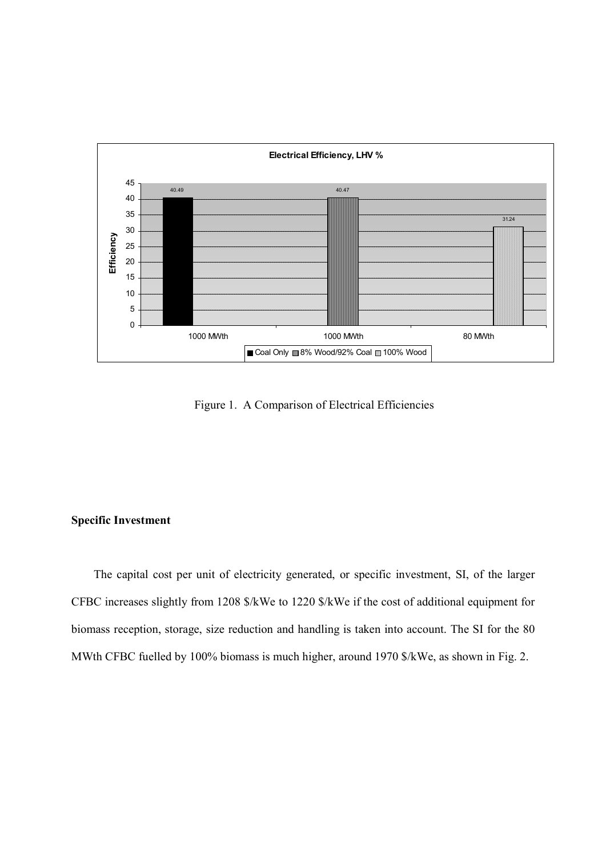

Figure 1. A Comparison of Electrical Efficiencies

### Specific Investment

The capital cost per unit of electricity generated, or specific investment, SI, of the larger CFBC increases slightly from 1208 \$/kWe to 1220 \$/kWe if the cost of additional equipment for biomass reception, storage, size reduction and handling is taken into account. The SI for the 80 MWth CFBC fuelled by 100% biomass is much higher, around 1970 \$/kWe, as shown in Fig. 2.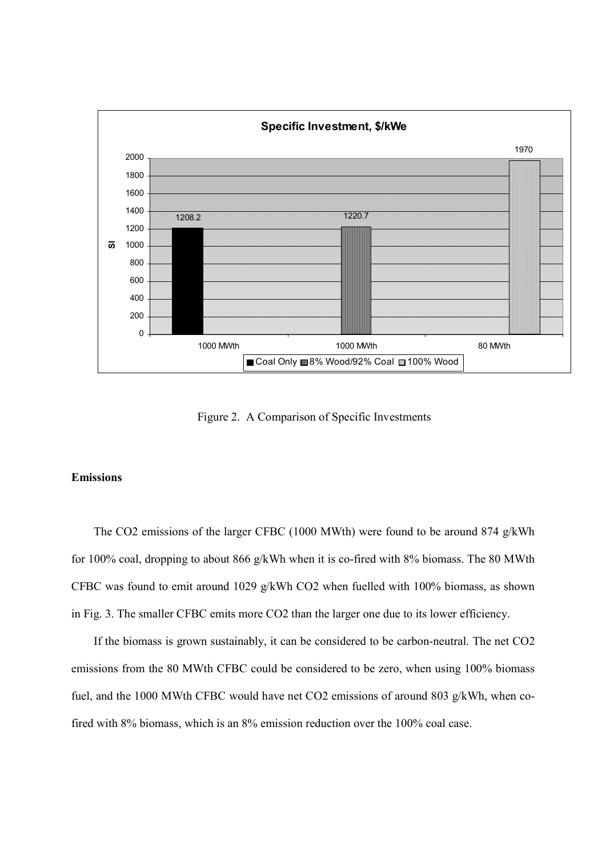

Figure 2. A Comparison of Specific Investments

### Emissions

The CO2 emissions of the larger CFBC (1000 MWth) were found to be around 874 g/kWh for 100% coal, dropping to about 866 g/kWh when it is co-fired with 8% biomass. The 80 MWth CFBC was found to emit around 1029 g/kWh CO2 when fuelled with 100% biomass, as shown in Fig. 3. The smaller CFBC emits more CO2 than the larger one due to its lower efficiency.

If the biomass is grown sustainably, it can be considered to be carbon-neutral. The net CO2 emissions from the 80 MWth CFBC could be considered to be zero, when using 100% biomass fuel, and the 1000 MWth CFBC would have net CO2 emissions of around 803 g/kWh, when cofired with 8% biomass, which is an 8% emission reduction over the 100% coal case.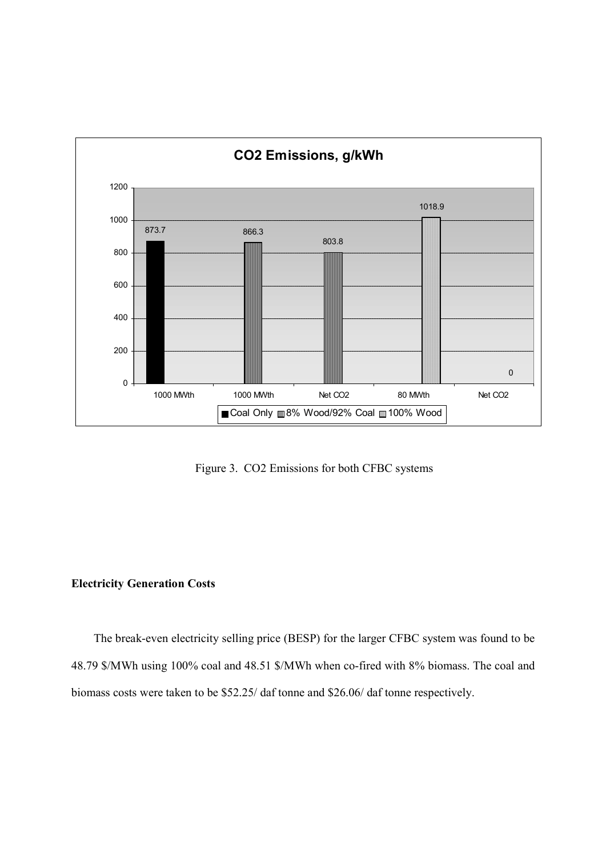

Figure 3. CO2 Emissions for both CFBC systems

# Electricity Generation Costs

The break-even electricity selling price (BESP) for the larger CFBC system was found to be 48.79 \$/MWh using 100% coal and 48.51 \$/MWh when co-fired with 8% biomass. The coal and biomass costs were taken to be \$52.25/ daf tonne and \$26.06/ daf tonne respectively.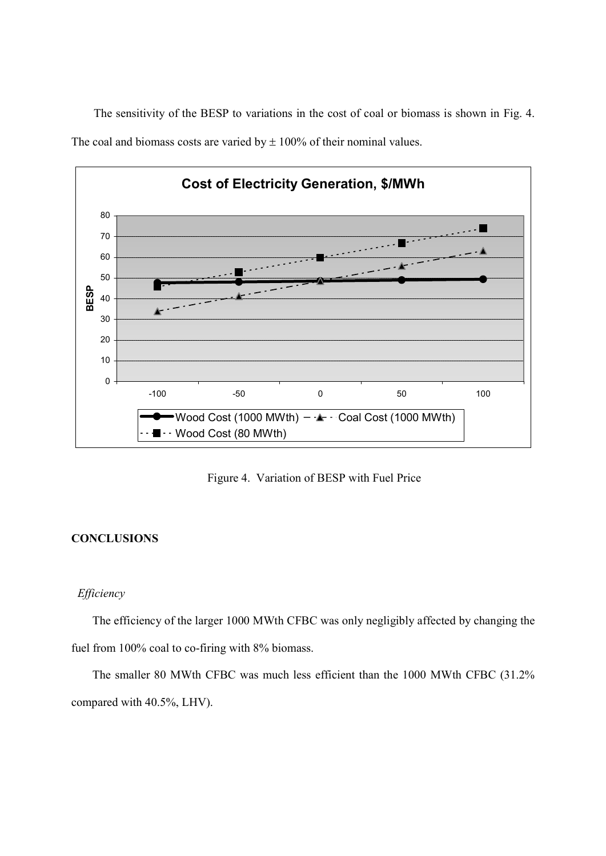

The sensitivity of the BESP to variations in the cost of coal or biomass is shown in Fig. 4.

The coal and biomass costs are varied by  $\pm$  100% of their nominal values.

Figure 4. Variation of BESP with Fuel Price

#### **CONCLUSIONS**

### Efficiency

The efficiency of the larger 1000 MWth CFBC was only negligibly affected by changing the fuel from 100% coal to co-firing with 8% biomass.

The smaller 80 MWth CFBC was much less efficient than the 1000 MWth CFBC (31.2% compared with 40.5%, LHV).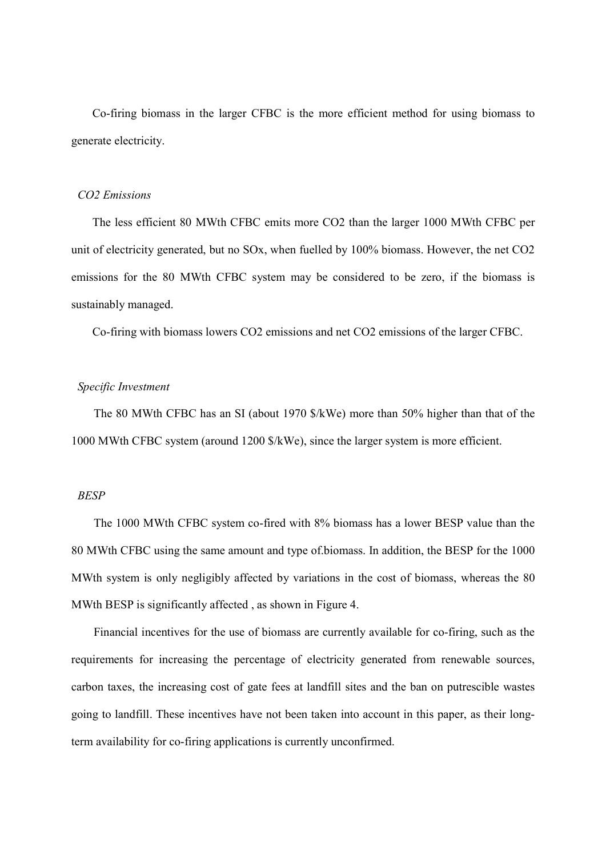Co-firing biomass in the larger CFBC is the more efficient method for using biomass to generate electricity.

### CO2 Emissions

The less efficient 80 MWth CFBC emits more CO2 than the larger 1000 MWth CFBC per unit of electricity generated, but no SOx, when fuelled by 100% biomass. However, the net CO2 emissions for the 80 MWth CFBC system may be considered to be zero, if the biomass is sustainably managed.

Co-firing with biomass lowers CO2 emissions and net CO2 emissions of the larger CFBC.

#### Specific Investment

The 80 MWth CFBC has an SI (about 1970 \$/kWe) more than 50% higher than that of the 1000 MWth CFBC system (around 1200 \$/kWe), since the larger system is more efficient.

#### **BESP**

The 1000 MWth CFBC system co-fired with 8% biomass has a lower BESP value than the 80 MWth CFBC using the same amount and type of.biomass. In addition, the BESP for the 1000 MWth system is only negligibly affected by variations in the cost of biomass, whereas the 80 MWth BESP is significantly affected , as shown in Figure 4.

Financial incentives for the use of biomass are currently available for co-firing, such as the requirements for increasing the percentage of electricity generated from renewable sources, carbon taxes, the increasing cost of gate fees at landfill sites and the ban on putrescible wastes going to landfill. These incentives have not been taken into account in this paper, as their longterm availability for co-firing applications is currently unconfirmed.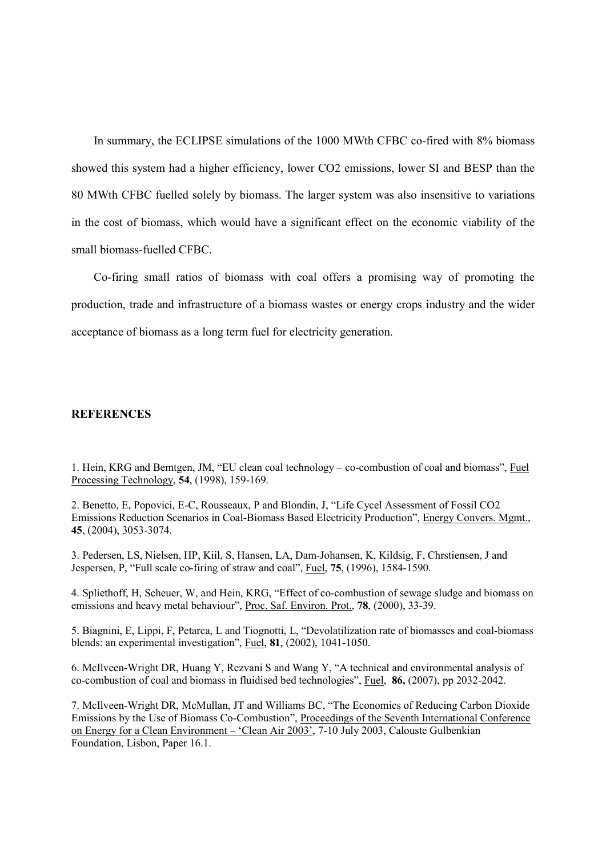In summary, the ECLIPSE simulations of the 1000 MWth CFBC co-fired with 8% biomass showed this system had a higher efficiency, lower CO2 emissions, lower SI and BESP than the 80 MWth CFBC fuelled solely by biomass. The larger system was also insensitive to variations in the cost of biomass, which would have a significant effect on the economic viability of the small biomass-fuelled CFBC.

Co-firing small ratios of biomass with coal offers a promising way of promoting the production, trade and infrastructure of a biomass wastes or energy crops industry and the wider acceptance of biomass as a long term fuel for electricity generation.

#### **REFERENCES**

1. Hein, KRG and Bemtgen, JM, "EU clean coal technology – co-combustion of coal and biomass", Fuel Processing Technology, 54, (1998), 159-169.

2. Benetto, E, Popovici, E-C, Rousseaux, P and Blondin, J, "Life Cycel Assessment of Fossil CO2 Emissions Reduction Scenarios in Coal-Biomass Based Electricity Production", Energy Convers. Mgmt., 45, (2004), 3053-3074.

3. Pedersen, LS, Nielsen, HP, Kiil, S, Hansen, LA, Dam-Johansen, K, Kildsig, F, Chrstiensen, J and Jespersen, P, "Full scale co-firing of straw and coal", Fuel, 75, (1996), 1584-1590.

4. Spliethoff, H, Scheuer, W, and Hein, KRG, "Effect of co-combustion of sewage sludge and biomass on emissions and heavy metal behaviour", Proc. Saf. Environ. Prot., 78, (2000), 33-39.

5. Biagnini, E, Lippi, F, Petarca, L and Tiognotti, L, "Devolatilization rate of biomasses and coal-biomass blends: an experimental investigation", Fuel, 81, (2002), 1041-1050.

6. McIlveen-Wright DR, Huang Y, Rezvani S and Wang Y, "A technical and environmental analysis of co-combustion of coal and biomass in fluidised bed technologies", Fuel, 86, (2007), pp 2032-2042.

7. McIlveen-Wright DR, McMullan, JT and Williams BC, "The Economics of Reducing Carbon Dioxide Emissions by the Use of Biomass Co-Combustion", Proceedings of the Seventh International Conference on Energy for a Clean Environment – 'Clean Air 2003', 7-10 July 2003, Calouste Gulbenkian Foundation, Lisbon, Paper 16.1.